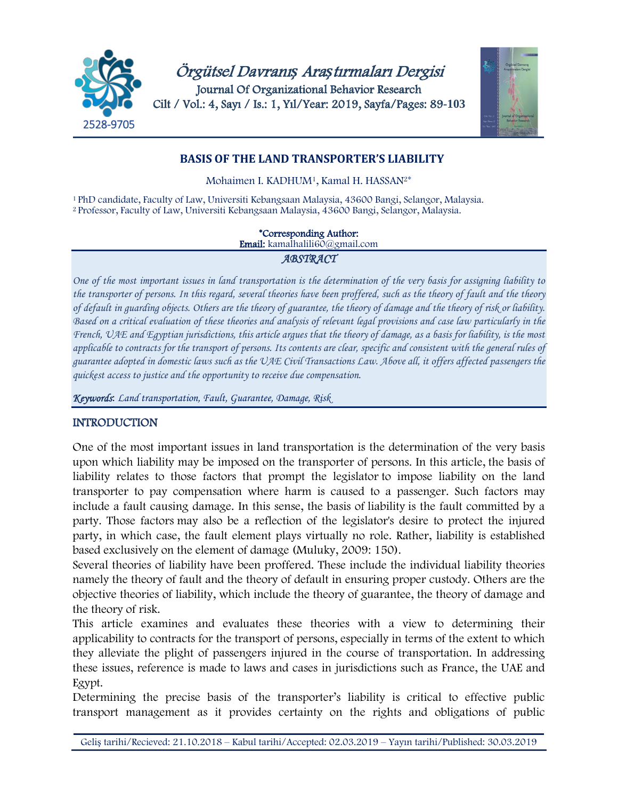



# **BASIS OF THE LAND TRANSPORTER'S LIABILITY**

Mohaimen I. KADHUM1, Kamal H. HASSAN2\*

<sup>1</sup>PhD candidate, Faculty of Law, Universiti Kebangsaan Malaysia, 43600 Bangi, Selangor, Malaysia. 2 Professor, Faculty of Law, Universiti Kebangsaan Malaysia, 43600 Bangi, Selangor, Malaysia.

#### \*Corresponding Author:

Email: kamalhalili60@gmail.com

### *ABSTRACT*

*One of the most important issues in land transportation is the determination of the very basis for assigning liability to the transporter of persons. In this regard, several theories have been proffered, such as the theory of fault and the theory of default in guarding objects. Others are the theory of guarantee, the theory of damage and the theory of risk or liability. Based on a critical evaluation of these theories and analysis of relevant legal provisions and case law particularly in the French, UAE and Egyptian jurisdictions, this article argues that the theory of damage, as a basis for liability, is the most applicable to contracts for the transport of persons. Its contents are clear, specific and consistent with the general rules of guarantee adopted in domestic laws such as the UAE Civil Transactions Law. Above all, it offers affected passengers the quickest access to justice and the opportunity to receive due compensation.*

*Keywords*: *Land transportation, Fault, Guarantee, Damage, Risk*

## INTRODUCTION

One of the most important issues in land transportation is the determination of the very basis upon which liability may be imposed on the transporter of persons. In this article, the basis of liability relates to those factors that prompt the legislator to impose liability on the land transporter to pay compensation where harm is caused to a passenger. Such factors may include a fault causing damage. In this sense, the basis of liability is the fault committed by a party. Those factors may also be a reflection of the legislator's desire to protect the injured party, in which case, the fault element plays virtually no role. Rather, liability is established based exclusively on the element of damage (Muluky, 2009: 150).

Several theories of liability have been proffered. These include the individual liability theories namely the theory of fault and the theory of default in ensuring proper custody. Others are the objective theories of liability, which include the theory of guarantee, the theory of damage and the theory of risk.

This article examines and evaluates these theories with a view to determining their applicability to contracts for the transport of persons, especially in terms of the extent to which they alleviate the plight of passengers injured in the course of transportation. In addressing these issues, reference is made to laws and cases in jurisdictions such as France, the UAE and Egypt.

Determining the precise basis of the transporter's liability is critical to effective public transport management as it provides certainty on the rights and obligations of public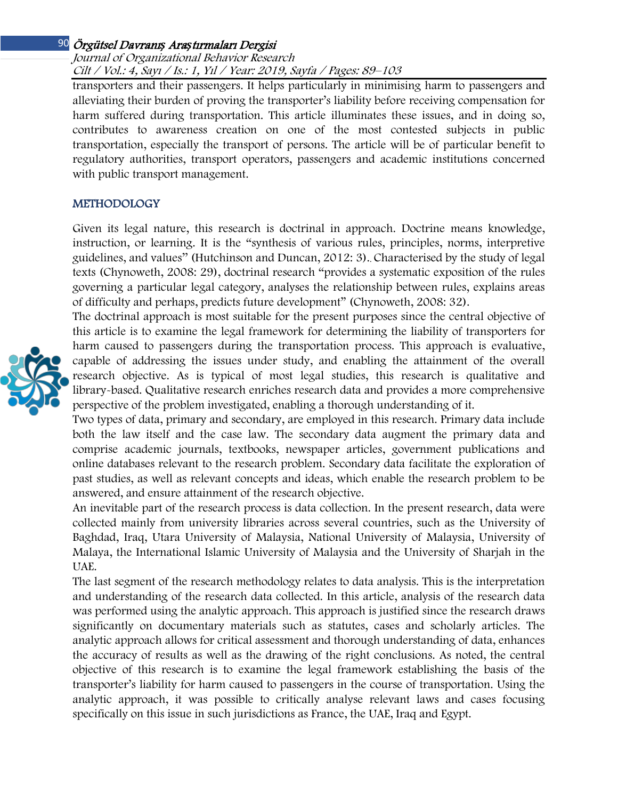## Örgütsel Davranı*ş* Ara*ş*tırmaları Dergisi 90 Journal of Organizational Behavior Research Cilt / Vol.: 4, Sayı / Is.: 1, Yıl / Year: 2019, Sayfa / Pages: 89–103

transporters and their passengers. It helps particularly in minimising harm to passengers and alleviating their burden of proving the transporter's liability before receiving compensation for harm suffered during transportation. This article illuminates these issues, and in doing so, contributes to awareness creation on one of the most contested subjects in public transportation, especially the transport of persons. The article will be of particular benefit to regulatory authorities, transport operators, passengers and academic institutions concerned with public transport management.

## METHODOLOGY

Given its legal nature, this research is doctrinal in approach. Doctrine means knowledge, instruction, or learning. It is the "synthesis of various rules, principles, norms, interpretive guidelines, and values'' (Hutchinson and Duncan, 2012: 3).. Characterised by the study of legal texts (Chynoweth, 2008: 29), doctrinal research "provides a systematic exposition of the rules governing a particular legal category, analyses the relationship between rules, explains areas of difficulty and perhaps, predicts future development" (Chynoweth, 2008: 32).

The doctrinal approach is most suitable for the present purposes since the central objective of this article is to examine the legal framework for determining the liability of transporters for harm caused to passengers during the transportation process. This approach is evaluative, capable of addressing the issues under study, and enabling the attainment of the overall research objective. As is typical of most legal studies, this research is qualitative and library-based. Qualitative research enriches research data and provides a more comprehensive perspective of the problem investigated, enabling a thorough understanding of it.

Two types of data, primary and secondary, are employed in this research. Primary data include both the law itself and the case law. The secondary data augment the primary data and comprise academic journals, textbooks, newspaper articles, government publications and online databases relevant to the research problem. Secondary data facilitate the exploration of past studies, as well as relevant concepts and ideas, which enable the research problem to be answered, and ensure attainment of the research objective.

An inevitable part of the research process is data collection. In the present research, data were collected mainly from university libraries across several countries, such as the University of Baghdad, Iraq, Utara University of Malaysia, National University of Malaysia, University of Malaya, the International Islamic University of Malaysia and the University of Sharjah in the UAE.

The last segment of the research methodology relates to data analysis. This is the interpretation and understanding of the research data collected. In this article, analysis of the research data was performed using the analytic approach. This approach is justified since the research draws significantly on documentary materials such as statutes, cases and scholarly articles. The analytic approach allows for critical assessment and thorough understanding of data, enhances the accuracy of results as well as the drawing of the right conclusions. As noted, the central objective of this research is to examine the legal framework establishing the basis of the transporter's liability for harm caused to passengers in the course of transportation. Using the analytic approach, it was possible to critically analyse relevant laws and cases focusing specifically on this issue in such jurisdictions as France, the UAE, Iraq and Egypt.

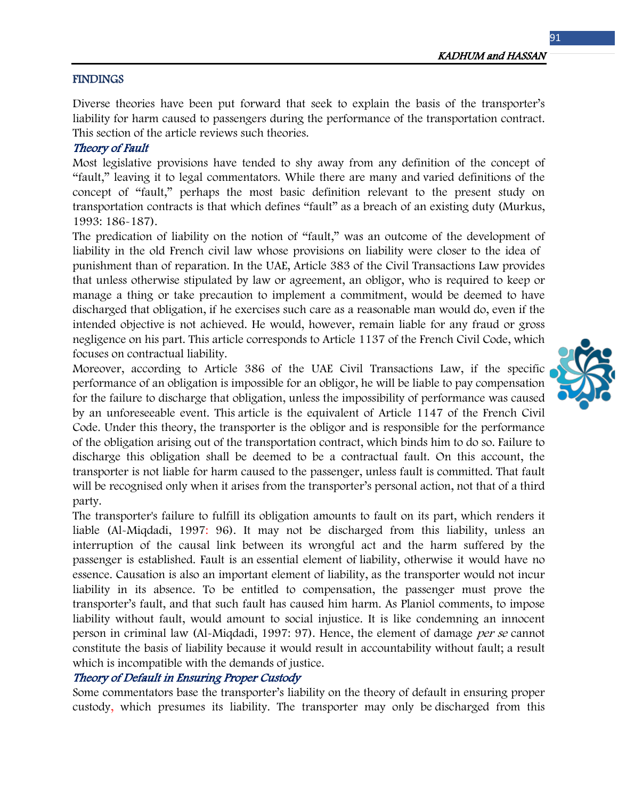### **FINDINGS**

Diverse theories have been put forward that seek to explain the basis of the transporter's liability for harm caused to passengers during the performance of the transportation contract. This section of the article reviews such theories.

## Theory of Fault

Most legislative provisions have tended to shy away from any definition of the concept of "fault," leaving it to legal commentators. While there are many and varied definitions of the concept of "fault," perhaps the most basic definition relevant to the present study on transportation contracts is that which defines "fault" as a breach of an existing duty (Murkus, 1993: 186-187).

The predication of liability on the notion of "fault," was an outcome of the development of liability in the old French civil law whose provisions on liability were closer to the idea of punishment than of reparation. In the UAE, Article 383 of the Civil Transactions Law provides that unless otherwise stipulated by law or agreement, an obligor, who is required to keep or manage a thing or take precaution to implement a commitment, would be deemed to have discharged that obligation, if he exercises such care as a reasonable man would do, even if the intended objective is not achieved. He would, however, remain liable for any fraud or gross negligence on his part. This article corresponds to Article 1137 of the French Civil Code, which focuses on contractual liability.

Moreover, according to Article 386 of the UAE Civil Transactions Law, if the specific performance of an obligation is impossible for an obligor, he will be liable to pay compensation for the failure to discharge that obligation, unless the impossibility of performance was caused by an unforeseeable event. This article is the equivalent of Article 1147 of the French Civil Code. Under this theory, the transporter is the obligor and is responsible for the performance of the obligation arising out of the transportation contract, which binds him to do so. Failure to discharge this obligation shall be deemed to be a contractual fault. On this account, the transporter is not liable for harm caused to the passenger, unless fault is committed. That fault will be recognised only when it arises from the transporter's personal action, not that of a third party.

The transporter's failure to fulfill its obligation amounts to fault on its part, which renders it liable (Al-Miqdadi, 1997: 96). It may not be discharged from this liability, unless an interruption of the causal link between its wrongful act and the harm suffered by the passenger is established. Fault is an essential element of liability, otherwise it would have no essence. Causation is also an important element of liability, as the transporter would not incur liability in its absence. To be entitled to compensation, the passenger must prove the transporter's fault, and that such fault has caused him harm. As Planiol comments, to impose liability without fault, would amount to social injustice. It is like condemning an innocent person in criminal law (Al-Miqdadi, 1997: 97). Hence, the element of damage per se cannot constitute the basis of liability because it would result in accountability without fault; a result which is incompatible with the demands of justice.

### Theory of Default in Ensuring Proper Custody

Some commentators base the transporter's liability on the theory of default in ensuring proper custody, which presumes its liability. The transporter may only be discharged from this

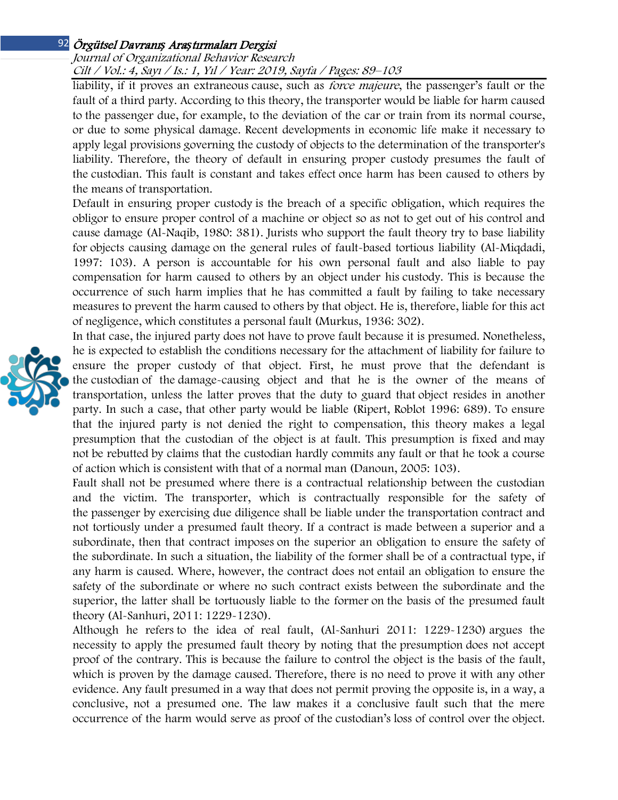### Örgütsel Davranı*ş* Ara*ş*tırmaları Dergisi 92 Journal of Organizational Behavior Research Cilt / Vol.: 4, Sayı / Is.: 1, Yıl / Year: 2019, Sayfa / Pages: 89–103

liability, if it proves an extraneous cause, such as force majeure, the passenger's fault or the fault of a third party. According to this theory, the transporter would be liable for harm caused to the passenger due, for example, to the deviation of the car or train from its normal course, or due to some physical damage. Recent developments in economic life make it necessary to apply legal provisions governing the custody of objects to the determination of the transporter's liability. Therefore, the theory of default in ensuring proper custody presumes the fault of the custodian. This fault is constant and takes effect once harm has been caused to others by the means of transportation.

Default in ensuring proper custody is the breach of a specific obligation, which requires the obligor to ensure proper control of a machine or object so as not to get out of his control and cause damage (Al-Naqib, 1980: 381). Jurists who support the fault theory try to base liability for objects causing damage on the general rules of fault-based tortious liability (Al-Miqdadi, 1997: 103). A person is accountable for his own personal fault and also liable to pay compensation for harm caused to others by an object under his custody. This is because the occurrence of such harm implies that he has committed a fault by failing to take necessary measures to prevent the harm caused to others by that object. He is, therefore, liable for this act of negligence, which constitutes a personal fault (Murkus, 1936: 302).

In that case, the injured party does not have to prove fault because it is presumed. Nonetheless, he is expected to establish the conditions necessary for the attachment of liability for failure to ensure the proper custody of that object. First, he must prove that the defendant is the custodian of the damage-causing object and that he is the owner of the means of transportation, unless the latter proves that the duty to guard that object resides in another party. In such a case, that other party would be liable (Ripert, Roblot 1996: 689). To ensure that the injured party is not denied the right to compensation, this theory makes a legal presumption that the custodian of the object is at fault. This presumption is fixed and may not be rebutted by claims that the custodian hardly commits any fault or that he took a course of action which is consistent with that of a normal man (Danoun, 2005: 103).

Fault shall not be presumed where there is a contractual relationship between the custodian and the victim. The transporter, which is contractually responsible for the safety of the passenger by exercising due diligence shall be liable under the transportation contract and not tortiously under a presumed fault theory. If a contract is made between a superior and a subordinate, then that contract imposes on the superior an obligation to ensure the safety of the subordinate. In such a situation, the liability of the former shall be of a contractual type, if any harm is caused. Where, however, the contract does not entail an obligation to ensure the safety of the subordinate or where no such contract exists between the subordinate and the superior, the latter shall be tortuously liable to the former on the basis of the presumed fault theory (Al-Sanhuri, 2011: 1229-1230).

Although he refers to the idea of real fault, (Al-Sanhuri 2011: 1229-1230) argues the necessity to apply the presumed fault theory by noting that the presumption does not accept proof of the contrary. This is because the failure to control the object is the basis of the fault, which is proven by the damage caused. Therefore, there is no need to prove it with any other evidence. Any fault presumed in a way that does not permit proving the opposite is, in a way, a conclusive, not a presumed one. The law makes it a conclusive fault such that the mere occurrence of the harm would serve as proof of the custodian's loss of control over the object.

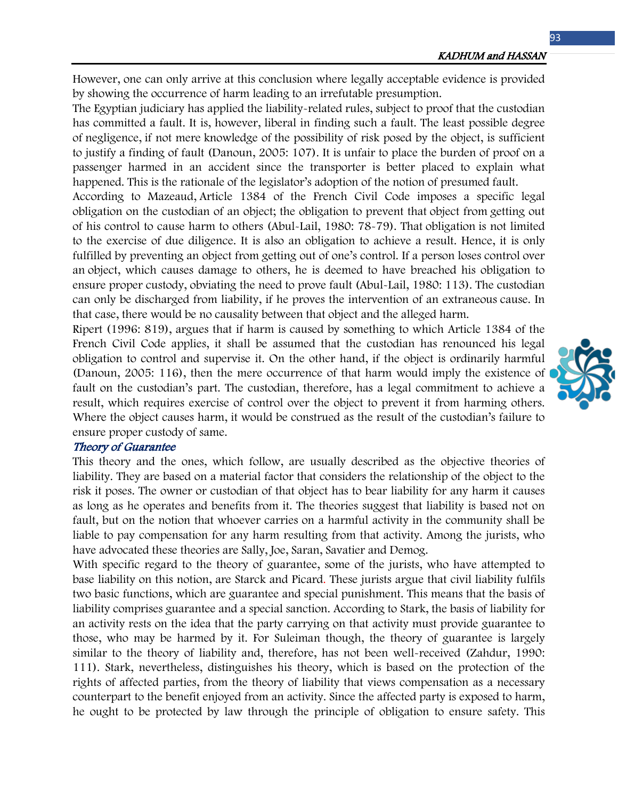However, one can only arrive at this conclusion where legally acceptable evidence is provided by showing the occurrence of harm leading to an irrefutable presumption.

The Egyptian judiciary has applied the liability-related rules, subject to proof that the custodian has committed a fault. It is, however, liberal in finding such a fault. The least possible degree of negligence, if not mere knowledge of the possibility of risk posed by the object, is sufficient to justify a finding of fault (Danoun, 2005: 107). It is unfair to place the burden of proof on a passenger harmed in an accident since the transporter is better placed to explain what happened. This is the rationale of the legislator's adoption of the notion of presumed fault.

According to Mazeaud, Article 1384 of the French Civil Code imposes a specific legal obligation on the custodian of an object; the obligation to prevent that object from getting out of his control to cause harm to others (Abul-Lail, 1980: 78-79). That obligation is not limited to the exercise of due diligence. It is also an obligation to achieve a result. Hence, it is only fulfilled by preventing an object from getting out of one's control. If a person loses control over an object, which causes damage to others, he is deemed to have breached his obligation to ensure proper custody, obviating the need to prove fault (Abul-Lail, 1980: 113). The custodian can only be discharged from liability, if he proves the intervention of an extraneous cause. In that case, there would be no causality between that object and the alleged harm.

Ripert (1996: 819), argues that if harm is caused by something to which Article 1384 of the French Civil Code applies, it shall be assumed that the custodian has renounced his legal obligation to control and supervise it. On the other hand, if the object is ordinarily harmful (Danoun, 2005: 116), then the mere occurrence of that harm would imply the existence of fault on the custodian's part. The custodian, therefore, has a legal commitment to achieve a result, which requires exercise of control over the object to prevent it from harming others. Where the object causes harm, it would be construed as the result of the custodian's failure to ensure proper custody of same.

#### Theory of Guarantee

This theory and the ones, which follow, are usually described as the objective theories of liability. They are based on a material factor that considers the relationship of the object to the risk it poses. The owner or custodian of that object has to bear liability for any harm it causes as long as he operates and benefits from it. The theories suggest that liability is based not on fault, but on the notion that whoever carries on a harmful activity in the community shall be liable to pay compensation for any harm resulting from that activity. Among the jurists, who have advocated these theories are Sally, Joe, Saran, Savatier and Demog.

With specific regard to the theory of guarantee, some of the jurists, who have attempted to base liability on this notion, are Starck and Picard. These jurists argue that civil liability fulfils two basic functions, which are guarantee and special punishment. This means that the basis of liability comprises guarantee and a special sanction. According to Stark, the basis of liability for an activity rests on the idea that the party carrying on that activity must provide guarantee to those, who may be harmed by it. For Suleiman though, the theory of guarantee is largely similar to the theory of liability and, therefore, has not been well-received (Zahdur, 1990: 111). Stark, nevertheless, distinguishes his theory, which is based on the protection of the rights of affected parties, from the theory of liability that views compensation as a necessary counterpart to the benefit enjoyed from an activity. Since the affected party is exposed to harm, he ought to be protected by law through the principle of obligation to ensure safety. This

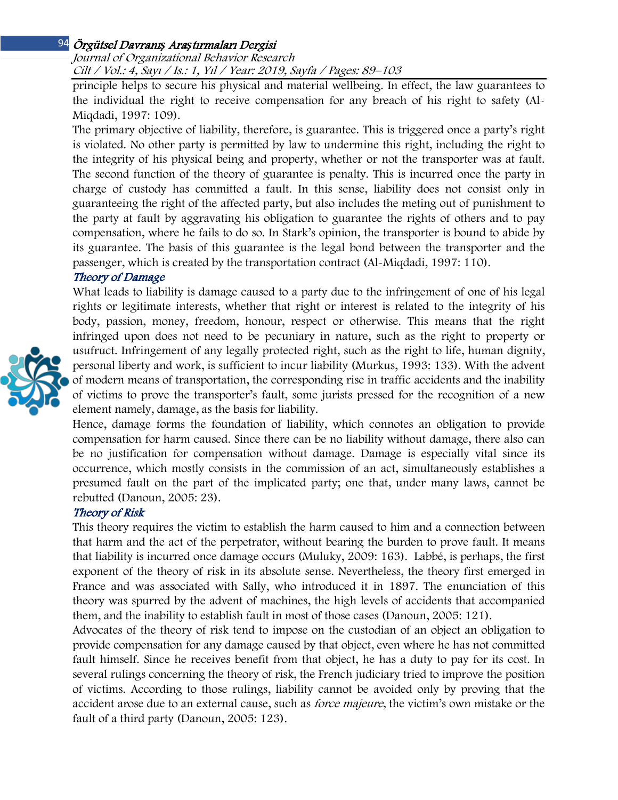## Örgütsel Davranı*ş* Ara*ş*tırmaları Dergisi 94 Journal of Organizational Behavior Research Cilt / Vol.: 4, Sayı / Is.: 1, Yıl / Year: 2019, Sayfa / Pages: 89–103

principle helps to secure his physical and material wellbeing. In effect, the law guarantees to the individual the right to receive compensation for any breach of his right to safety (Al-Miqdadi, 1997: 109).

The primary objective of liability, therefore, is guarantee. This is triggered once a party's right is violated. No other party is permitted by law to undermine this right, including the right to the integrity of his physical being and property, whether or not the transporter was at fault. The second function of the theory of guarantee is penalty. This is incurred once the party in charge of custody has committed a fault. In this sense, liability does not consist only in guaranteeing the right of the affected party, but also includes the meting out of punishment to the party at fault by aggravating his obligation to guarantee the rights of others and to pay compensation, where he fails to do so. In Stark's opinion, the transporter is bound to abide by its guarantee. The basis of this guarantee is the legal bond between the transporter and the passenger, which is created by the transportation contract (Al-Miqdadi, 1997: 110).

## Theory of Damage



What leads to liability is damage caused to a party due to the infringement of one of his legal rights or legitimate interests, whether that right or interest is related to the integrity of his body, passion, money, freedom, honour, respect or otherwise. This means that the right infringed upon does not need to be pecuniary in nature, such as the right to property or usufruct. Infringement of any legally protected right, such as the right to life, human dignity, personal liberty and work, is sufficient to incur liability (Murkus, 1993: 133). With the advent of modern means of transportation, the corresponding rise in traffic accidents and the inability of victims to prove the transporter's fault, some jurists pressed for the recognition of a new element namely, damage, as the basis for liability.

Hence, damage forms the foundation of liability, which connotes an obligation to provide compensation for harm caused. Since there can be no liability without damage, there also can be no justification for compensation without damage. Damage is especially vital since its occurrence, which mostly consists in the commission of an act, simultaneously establishes a presumed fault on the part of the implicated party; one that, under many laws, cannot be rebutted (Danoun, 2005: 23).

## Theory of Risk

This theory requires the victim to establish the harm caused to him and a connection between that harm and the act of the perpetrator, without bearing the burden to prove fault. It means that liability is incurred once damage occurs (Muluky, 2009: 163). Labbé, is perhaps, the first exponent of the theory of risk in its absolute sense. Nevertheless, the theory first emerged in France and was associated with Sally, who introduced it in 1897. The enunciation of this theory was spurred by the advent of machines, the high levels of accidents that accompanied them, and the inability to establish fault in most of those cases (Danoun, 2005: 121).

Advocates of the theory of risk tend to impose on the custodian of an object an obligation to provide compensation for any damage caused by that object, even where he has not committed fault himself. Since he receives benefit from that object, he has a duty to pay for its cost. In several rulings concerning the theory of risk, the French judiciary tried to improve the position of victims. According to those rulings, liability cannot be avoided only by proving that the accident arose due to an external cause, such as *force majeure*, the victim's own mistake or the fault of a third party (Danoun, 2005: 123).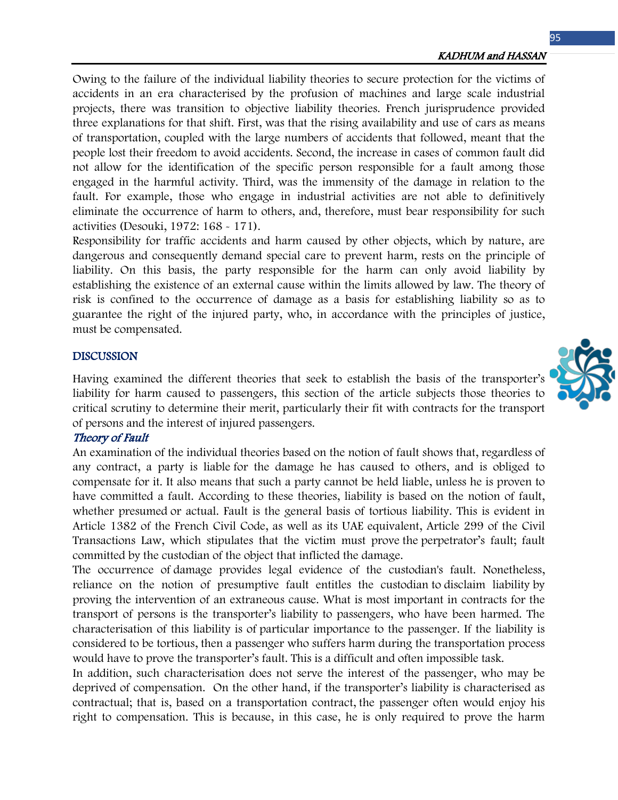Owing to the failure of the individual liability theories to secure protection for the victims of accidents in an era characterised by the profusion of machines and large scale industrial projects, there was transition to objective liability theories. French jurisprudence provided three explanations for that shift. First, was that the rising availability and use of cars as means of transportation, coupled with the large numbers of accidents that followed, meant that the people lost their freedom to avoid accidents. Second, the increase in cases of common fault did not allow for the identification of the specific person responsible for a fault among those engaged in the harmful activity. Third, was the immensity of the damage in relation to the fault. For example, those who engage in industrial activities are not able to definitively eliminate the occurrence of harm to others, and, therefore, must bear responsibility for such activities (Desouki, 1972: 168 - 171).

Responsibility for traffic accidents and harm caused by other objects, which by nature, are dangerous and consequently demand special care to prevent harm, rests on the principle of liability. On this basis, the party responsible for the harm can only avoid liability by establishing the existence of an external cause within the limits allowed by law. The theory of risk is confined to the occurrence of damage as a basis for establishing liability so as to guarantee the right of the injured party, who, in accordance with the principles of justice, must be compensated.

#### DISCUSSION

Having examined the different theories that seek to establish the basis of the transporter's liability for harm caused to passengers, this section of the article subjects those theories to critical scrutiny to determine their merit, particularly their fit with contracts for the transport of persons and the interest of injured passengers.

#### Theory of Fault

An examination of the individual theories based on the notion of fault shows that, regardless of any contract, a party is liable for the damage he has caused to others, and is obliged to compensate for it. It also means that such a party cannot be held liable, unless he is proven to have committed a fault. According to these theories, liability is based on the notion of fault, whether presumed or actual. Fault is the general basis of tortious liability. This is evident in Article 1382 of the French Civil Code, as well as its UAE equivalent, Article 299 of the Civil Transactions Law, which stipulates that the victim must prove the perpetrator's fault; fault committed by the custodian of the object that inflicted the damage.

The occurrence of damage provides legal evidence of the custodian's fault. Nonetheless, reliance on the notion of presumptive fault entitles the custodian to disclaim liability by proving the intervention of an extraneous cause. What is most important in contracts for the transport of persons is the transporter's liability to passengers, who have been harmed. The characterisation of this liability is of particular importance to the passenger. If the liability is considered to be tortious, then a passenger who suffers harm during the transportation process would have to prove the transporter's fault. This is a difficult and often impossible task.

In addition, such characterisation does not serve the interest of the passenger, who may be deprived of compensation. On the other hand, if the transporter's liability is characterised as contractual; that is, based on a transportation contract, the passenger often would enjoy his right to compensation. This is because, in this case, he is only required to prove the harm

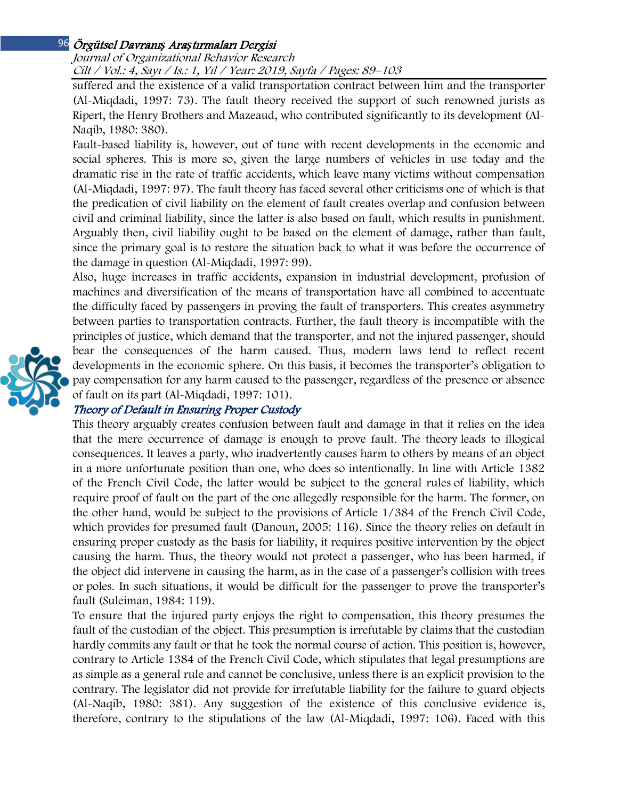## Örgütsel Davranı*ş* Ara*ş*tırmaları Dergisi 96 Journal of Organizational Behavior Research Cilt / Vol.: 4, Sayı / Is.: 1, Yıl / Year: 2019, Sayfa / Pages: 89–103

suffered and the existence of a valid transportation contract between him and the transporter (Al-Miqdadi, 1997: 73). The fault theory received the support of such renowned jurists as Ripert, the Henry Brothers and Mazeaud, who contributed significantly to its development (Al-Naqib, 1980: 380).

Fault-based liability is, however, out of tune with recent developments in the economic and social spheres. This is more so, given the large numbers of vehicles in use today and the dramatic rise in the rate of traffic accidents, which leave many victims without compensation (Al-Miqdadi, 1997: 97). The fault theory has faced several other criticisms one of which is that the predication of civil liability on the element of fault creates overlap and confusion between civil and criminal liability, since the latter is also based on fault, which results in punishment. Arguably then, civil liability ought to be based on the element of damage, rather than fault, since the primary goal is to restore the situation back to what it was before the occurrence of the damage in question (Al-Miqdadi, 1997: 99).

Also, huge increases in traffic accidents, expansion in industrial development, profusion of machines and diversification of the means of transportation have all combined to accentuate the difficulty faced by passengers in proving the fault of transporters. This creates asymmetry between parties to transportation contracts. Further, the fault theory is incompatible with the principles of justice, which demand that the transporter, and not the injured passenger, should bear the consequences of the harm caused. Thus, modern laws tend to reflect recent developments in the economic sphere. On this basis, it becomes the transporter's obligation to pay compensation for any harm caused to the passenger, regardless of the presence or absence of fault on its part (Al-Miqdadi, 1997: 101).

# Theory of Default in Ensuring Proper Custody

This theory arguably creates confusion between fault and damage in that it relies on the idea that the mere occurrence of damage is enough to prove fault. The theory leads to illogical consequences. It leaves a party, who inadvertently causes harm to others by means of an object in a more unfortunate position than one, who does so intentionally. In line with Article 1382 of the French Civil Code, the latter would be subject to the general rules of liability, which require proof of fault on the part of the one allegedly responsible for the harm. The former, on the other hand, would be subject to the provisions of Article 1/384 of the French Civil Code, which provides for presumed fault (Danoun, 2005: 116). Since the theory relies on default in ensuring proper custody as the basis for liability, it requires positive intervention by the object causing the harm. Thus, the theory would not protect a passenger, who has been harmed, if the object did intervene in causing the harm, as in the case of a passenger's collision with trees or poles. In such situations, it would be difficult for the passenger to prove the transporter's fault (Suleiman, 1984: 119).

To ensure that the injured party enjoys the right to compensation, this theory presumes the fault of the custodian of the object. This presumption is irrefutable by claims that the custodian hardly commits any fault or that he took the normal course of action. This position is, however, contrary to Article 1384 of the French Civil Code, which stipulates that legal presumptions are as simple as a general rule and cannot be conclusive, unless there is an explicit provision to the contrary. The legislator did not provide for irrefutable liability for the failure to guard objects (Al-Naqib, 1980: 381). Any suggestion of the existence of this conclusive evidence is, therefore, contrary to the stipulations of the law (Al-Miqdadi, 1997: 106). Faced with this

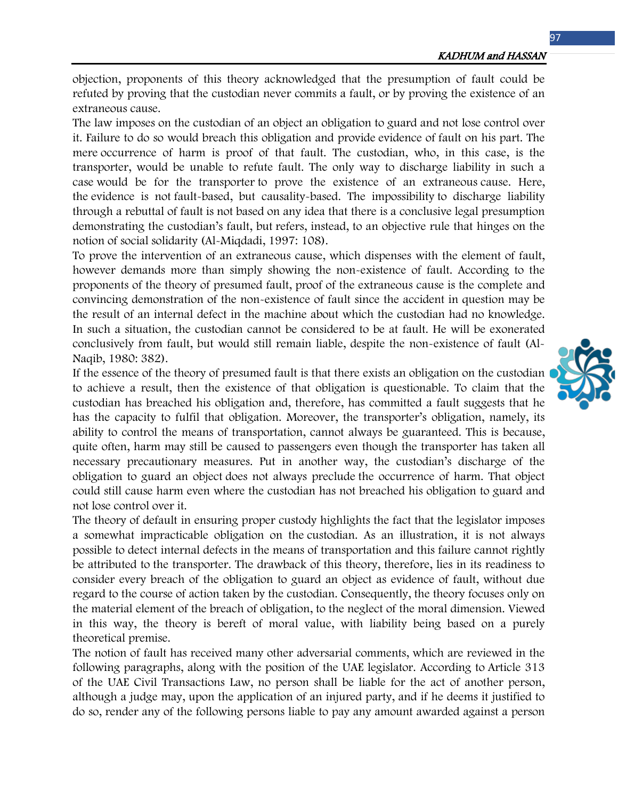objection, proponents of this theory acknowledged that the presumption of fault could be refuted by proving that the custodian never commits a fault, or by proving the existence of an extraneous cause.

The law imposes on the custodian of an object an obligation to guard and not lose control over it. Failure to do so would breach this obligation and provide evidence of fault on his part. The mere occurrence of harm is proof of that fault. The custodian, who, in this case, is the transporter, would be unable to refute fault. The only way to discharge liability in such a case would be for the transporter to prove the existence of an extraneous cause. Here, the evidence is not fault-based, but causality-based. The impossibility to discharge liability through a rebuttal of fault is not based on any idea that there is a conclusive legal presumption demonstrating the custodian's fault, but refers, instead, to an objective rule that hinges on the notion of social solidarity (Al-Miqdadi, 1997: 108).

To prove the intervention of an extraneous cause, which dispenses with the element of fault, however demands more than simply showing the non-existence of fault. According to the proponents of the theory of presumed fault, proof of the extraneous cause is the complete and convincing demonstration of the non-existence of fault since the accident in question may be the result of an internal defect in the machine about which the custodian had no knowledge. In such a situation, the custodian cannot be considered to be at fault. He will be exonerated conclusively from fault, but would still remain liable, despite the non-existence of fault (Al-Naqib, 1980: 382).

If the essence of the theory of presumed fault is that there exists an obligation on the custodian to achieve a result, then the existence of that obligation is questionable. To claim that the custodian has breached his obligation and, therefore, has committed a fault suggests that he has the capacity to fulfil that obligation. Moreover, the transporter's obligation, namely, its ability to control the means of transportation, cannot always be guaranteed. This is because, quite often, harm may still be caused to passengers even though the transporter has taken all necessary precautionary measures. Put in another way, the custodian's discharge of the obligation to guard an object does not always preclude the occurrence of harm. That object could still cause harm even where the custodian has not breached his obligation to guard and not lose control over it.

The theory of default in ensuring proper custody highlights the fact that the legislator imposes a somewhat impracticable obligation on the custodian. As an illustration, it is not always possible to detect internal defects in the means of transportation and this failure cannot rightly be attributed to the transporter. The drawback of this theory, therefore, lies in its readiness to consider every breach of the obligation to guard an object as evidence of fault, without due regard to the course of action taken by the custodian. Consequently, the theory focuses only on the material element of the breach of obligation, to the neglect of the moral dimension. Viewed in this way, the theory is bereft of moral value, with liability being based on a purely theoretical premise.

The notion of fault has received many other adversarial comments, which are reviewed in the following paragraphs, along with the position of the UAE legislator. According to Article 313 of the UAE Civil Transactions Law, no person shall be liable for the act of another person, although a judge may, upon the application of an injured party, and if he deems it justified to do so, render any of the following persons liable to pay any amount awarded against a person

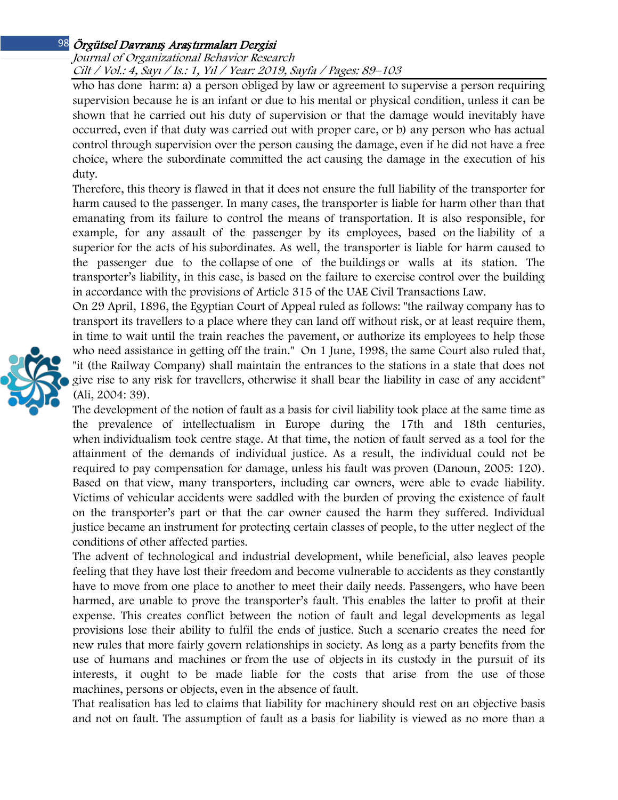## Örgütsel Davranı*ş* Ara*ş*tırmaları Dergisi 98 Journal of Organizational Behavior Research Cilt / Vol.: 4, Sayı / Is.: 1, Yıl / Year: 2019, Sayfa / Pages: 89–103

who has done harm: a) a person obliged by law or agreement to supervise a person requiring supervision because he is an infant or due to his mental or physical condition, unless it can be shown that he carried out his duty of supervision or that the damage would inevitably have occurred, even if that duty was carried out with proper care, or b) any person who has actual control through supervision over the person causing the damage, even if he did not have a free choice, where the subordinate committed the act causing the damage in the execution of his duty.

Therefore, this theory is flawed in that it does not ensure the full liability of the transporter for harm caused to the passenger. In many cases, the transporter is liable for harm other than that emanating from its failure to control the means of transportation. It is also responsible, for example, for any assault of the passenger by its employees, based on the liability of a superior for the acts of his subordinates. As well, the transporter is liable for harm caused to the passenger due to the collapse of one of the buildings or walls at its station. The transporter's liability, in this case, is based on the failure to exercise control over the building in accordance with the provisions of Article 315 of the UAE Civil Transactions Law.

On 29 April, 1896, the Egyptian Court of Appeal ruled as follows: "the railway company has to transport its travellers to a place where they can land off without risk, or at least require them, in time to wait until the train reaches the pavement, or authorize its employees to help those who need assistance in getting off the train." On 1 June, 1998, the same Court also ruled that, "it (the Railway Company) shall maintain the entrances to the stations in a state that does not give rise to any risk for travellers, otherwise it shall bear the liability in case of any accident" (Ali, 2004: 39).

The development of the notion of fault as a basis for civil liability took place at the same time as the prevalence of intellectualism in Europe during the 17th and 18th centuries, when individualism took centre stage. At that time, the notion of fault served as a tool for the attainment of the demands of individual justice. As a result, the individual could not be required to pay compensation for damage, unless his fault was proven (Danoun, 2005: 120). Based on that view, many transporters, including car owners, were able to evade liability. Victims of vehicular accidents were saddled with the burden of proving the existence of fault on the transporter's part or that the car owner caused the harm they suffered. Individual justice became an instrument for protecting certain classes of people, to the utter neglect of the conditions of other affected parties.

The advent of technological and industrial development, while beneficial, also leaves people feeling that they have lost their freedom and become vulnerable to accidents as they constantly have to move from one place to another to meet their daily needs. Passengers, who have been harmed, are unable to prove the transporter's fault. This enables the latter to profit at their expense. This creates conflict between the notion of fault and legal developments as legal provisions lose their ability to fulfil the ends of justice. Such a scenario creates the need for new rules that more fairly govern relationships in society. As long as a party benefits from the use of humans and machines or from the use of objects in its custody in the pursuit of its interests, it ought to be made liable for the costs that arise from the use of those machines, persons or objects, even in the absence of fault.

That realisation has led to claims that liability for machinery should rest on an objective basis and not on fault. The assumption of fault as a basis for liability is viewed as no more than a

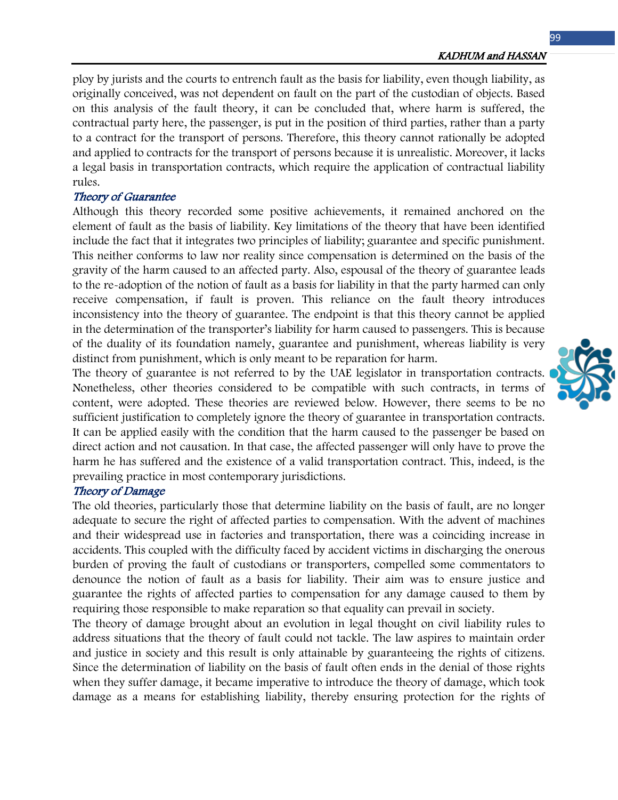ploy by jurists and the courts to entrench fault as the basis for liability, even though liability, as originally conceived, was not dependent on fault on the part of the custodian of objects. Based on this analysis of the fault theory, it can be concluded that, where harm is suffered, the contractual party here, the passenger, is put in the position of third parties, rather than a party to a contract for the transport of persons. Therefore, this theory cannot rationally be adopted and applied to contracts for the transport of persons because it is unrealistic. Moreover, it lacks a legal basis in transportation contracts, which require the application of contractual liability rules.

### Theory of Guarantee

Although this theory recorded some positive achievements, it remained anchored on the element of fault as the basis of liability. Key limitations of the theory that have been identified include the fact that it integrates two principles of liability; guarantee and specific punishment. This neither conforms to law nor reality since compensation is determined on the basis of the gravity of the harm caused to an affected party. Also, espousal of the theory of guarantee leads to the re-adoption of the notion of fault as a basis for liability in that the party harmed can only receive compensation, if fault is proven. This reliance on the fault theory introduces inconsistency into the theory of guarantee. The endpoint is that this theory cannot be applied in the determination of the transporter's liability for harm caused to passengers. This is because of the duality of its foundation namely, guarantee and punishment, whereas liability is very distinct from punishment, which is only meant to be reparation for harm.

The theory of guarantee is not referred to by the UAE legislator in transportation contracts. Nonetheless, other theories considered to be compatible with such contracts, in terms of content, were adopted. These theories are reviewed below. However, there seems to be no sufficient justification to completely ignore the theory of guarantee in transportation contracts. It can be applied easily with the condition that the harm caused to the passenger be based on direct action and not causation. In that case, the affected passenger will only have to prove the harm he has suffered and the existence of a valid transportation contract. This, indeed, is the prevailing practice in most contemporary jurisdictions.

### Theory of Damage

The old theories, particularly those that determine liability on the basis of fault, are no longer adequate to secure the right of affected parties to compensation. With the advent of machines and their widespread use in factories and transportation, there was a coinciding increase in accidents. This coupled with the difficulty faced by accident victims in discharging the onerous burden of proving the fault of custodians or transporters, compelled some commentators to denounce the notion of fault as a basis for liability. Their aim was to ensure justice and guarantee the rights of affected parties to compensation for any damage caused to them by requiring those responsible to make reparation so that equality can prevail in society.

The theory of damage brought about an evolution in legal thought on civil liability rules to address situations that the theory of fault could not tackle. The law aspires to maintain order and justice in society and this result is only attainable by guaranteeing the rights of citizens. Since the determination of liability on the basis of fault often ends in the denial of those rights when they suffer damage, it became imperative to introduce the theory of damage, which took damage as a means for establishing liability, thereby ensuring protection for the rights of

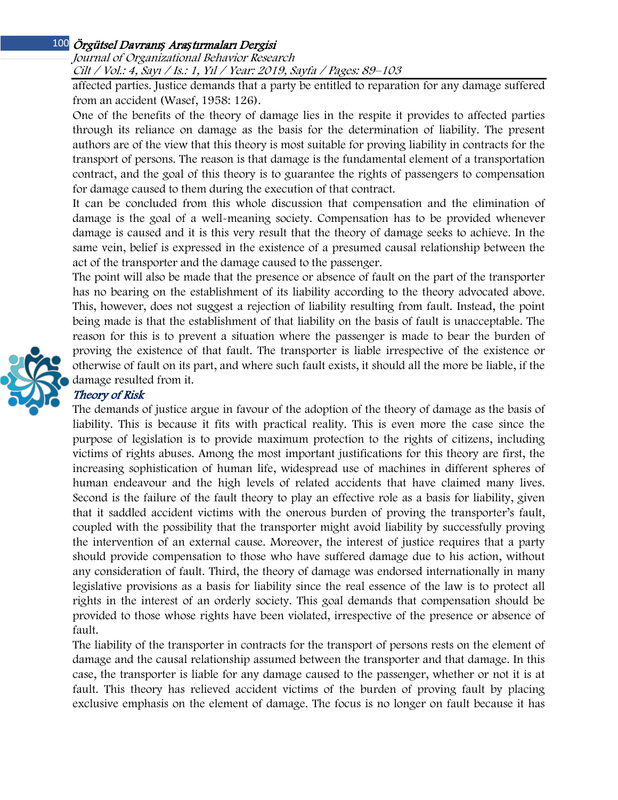#### Örgütsel Davranı*ş* Ara*ş*tırmaları Dergisi 100

Journal of Organizational Behavior Research Cilt / Vol.: 4, Sayı / Is.: 1, Yıl / Year: 2019, Sayfa / Pages: 89–103

affected parties. Justice demands that a party be entitled to reparation for any damage suffered from an accident (Wasef, 1958: 126).

One of the benefits of the theory of damage lies in the respite it provides to affected parties through its reliance on damage as the basis for the determination of liability. The present authors are of the view that this theory is most suitable for proving liability in contracts for the transport of persons. The reason is that damage is the fundamental element of a transportation contract, and the goal of this theory is to guarantee the rights of passengers to compensation for damage caused to them during the execution of that contract.

It can be concluded from this whole discussion that compensation and the elimination of damage is the goal of a well-meaning society. Compensation has to be provided whenever damage is caused and it is this very result that the theory of damage seeks to achieve. In the same vein, belief is expressed in the existence of a presumed causal relationship between the act of the transporter and the damage caused to the passenger.

The point will also be made that the presence or absence of fault on the part of the transporter has no bearing on the establishment of its liability according to the theory advocated above. This, however, does not suggest a rejection of liability resulting from fault. Instead, the point being made is that the establishment of that liability on the basis of fault is unacceptable. The reason for this is to prevent a situation where the passenger is made to bear the burden of proving the existence of that fault. The transporter is liable irrespective of the existence or otherwise of fault on its part, and where such fault exists, it should all the more be liable, if the damage resulted from it.

# Theory of Risk

The demands of justice argue in favour of the adoption of the theory of damage as the basis of liability. This is because it fits with practical reality. This is even more the case since the purpose of legislation is to provide maximum protection to the rights of citizens, including victims of rights abuses. Among the most important justifications for this theory are first, the increasing sophistication of human life, widespread use of machines in different spheres of human endeavour and the high levels of related accidents that have claimed many lives. Second is the failure of the fault theory to play an effective role as a basis for liability, given that it saddled accident victims with the onerous burden of proving the transporter's fault, coupled with the possibility that the transporter might avoid liability by successfully proving the intervention of an external cause. Moreover, the interest of justice requires that a party should provide compensation to those who have suffered damage due to his action, without any consideration of fault. Third, the theory of damage was endorsed internationally in many legislative provisions as a basis for liability since the real essence of the law is to protect all rights in the interest of an orderly society. This goal demands that compensation should be provided to those whose rights have been violated, irrespective of the presence or absence of fault.

The liability of the transporter in contracts for the transport of persons rests on the element of damage and the causal relationship assumed between the transporter and that damage. In this case, the transporter is liable for any damage caused to the passenger, whether or not it is at fault. This theory has relieved accident victims of the burden of proving fault by placing exclusive emphasis on the element of damage. The focus is no longer on fault because it has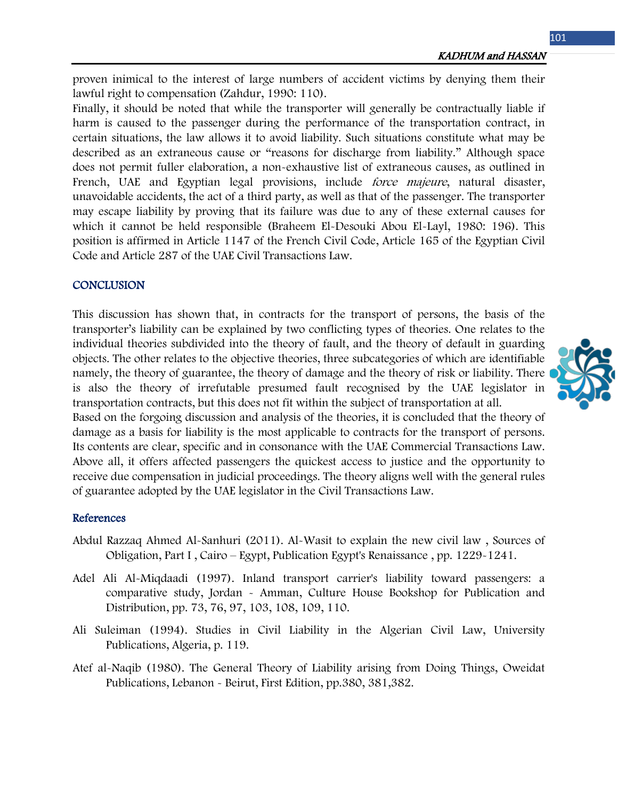KADHUM and HASSAN

proven inimical to the interest of large numbers of accident victims by denying them their lawful right to compensation (Zahdur, 1990: 110).

Finally, it should be noted that while the transporter will generally be contractually liable if harm is caused to the passenger during the performance of the transportation contract, in certain situations, the law allows it to avoid liability. Such situations constitute what may be described as an extraneous cause or "reasons for discharge from liability." Although space does not permit fuller elaboration, a non-exhaustive list of extraneous causes, as outlined in French, UAE and Egyptian legal provisions, include *force majeure*, natural disaster, unavoidable accidents, the act of a third party, as well as that of the passenger. The transporter may escape liability by proving that its failure was due to any of these external causes for which it cannot be held responsible (Braheem El-Desouki Abou El-Layl, 1980: 196). This position is affirmed in Article 1147 of the French Civil Code, Article 165 of the Egyptian Civil Code and Article 287 of the UAE Civil Transactions Law.

## **CONCLUSION**

This discussion has shown that, in contracts for the transport of persons, the basis of the transporter's liability can be explained by two conflicting types of theories. One relates to the individual theories subdivided into the theory of fault, and the theory of default in guarding objects. The other relates to the objective theories, three subcategories of which are identifiable namely, the theory of guarantee, the theory of damage and the theory of risk or liability. There is also the theory of irrefutable presumed fault recognised by the UAE legislator in transportation contracts, but this does not fit within the subject of transportation at all.

Based on the forgoing discussion and analysis of the theories, it is concluded that the theory of damage as a basis for liability is the most applicable to contracts for the transport of persons. Its contents are clear, specific and in consonance with the UAE Commercial Transactions Law. Above all, it offers affected passengers the quickest access to justice and the opportunity to receive due compensation in judicial proceedings. The theory aligns well with the general rules of guarantee adopted by the UAE legislator in the Civil Transactions Law.

### References

- Abdul Razzaq Ahmed Al-Sanhuri (2011). Al-Wasit to explain the new civil law , Sources of Obligation, Part I , Cairo – Egypt, Publication Egypt's Renaissance , pp. 1229-1241.
- Adel Ali Al-Miqdaadi (1997). Inland transport carrier's liability toward passengers: a comparative study, Jordan - Amman, Culture House Bookshop for Publication and Distribution, pp. 73, 76, 97, 103, 108, 109, 110.
- Ali Suleiman (1994). Studies in Civil Liability in the Algerian Civil Law, University Publications, Algeria, p. 119.
- Atef al-Naqib (1980). The General Theory of Liability arising from Doing Things, Oweidat Publications, Lebanon - Beirut, First Edition, pp.380, 381,382.

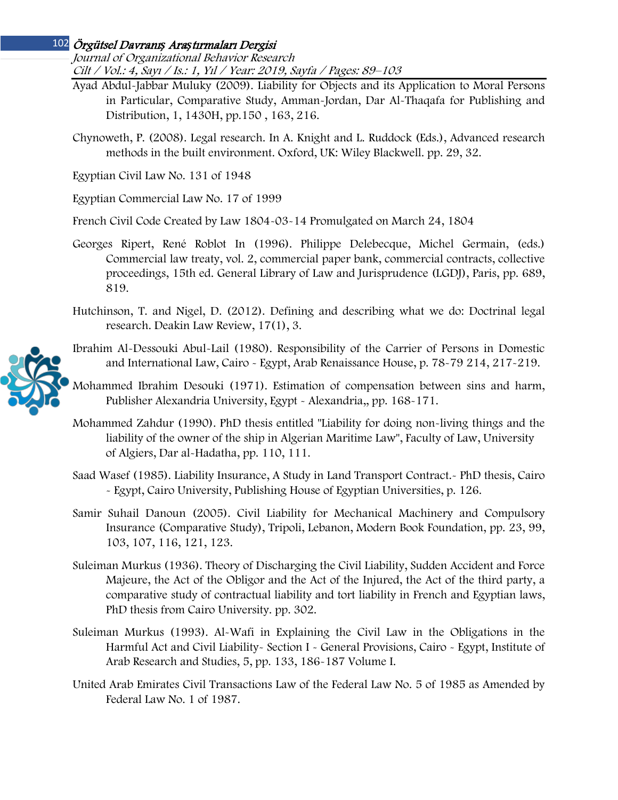# Örgütsel Davranı*ş* Ara*ş*tırmaları Dergisi 102

Journal of Organizational Behavior Research Cilt / Vol.: 4, Sayı / Is.: 1, Yıl / Year: 2019, Sayfa / Pages: 89–103

- Ayad Abdul-Jabbar Muluky (2009). Liability for Objects and its Application to Moral Persons in Particular, Comparative Study, Amman-Jordan, Dar Al-Thaqafa for Publishing and Distribution, 1, 1430H, pp.150 , 163, 216.
- Chynoweth, P. (2008). Legal research. In A. Knight and L. Ruddock (Eds.), Advanced research methods in the built environment. Oxford, UK: Wiley Blackwell. pp. 29, 32.

Egyptian Civil Law No. 131 of 1948

Egyptian Commercial Law No. 17 of 1999

French Civil Code Created by Law 1804-03-14 Promulgated on March 24, 1804

- Georges Ripert, René Roblot In (1996). Philippe Delebecque, Michel Germain, (eds.) Commercial law treaty, vol. 2, commercial paper bank, commercial contracts, collective proceedings, 15th ed. General Library of Law and Jurisprudence (LGDJ), Paris, pp. 689, 819.
- Hutchinson, T. and Nigel, D. (2012). Defining and describing what we do: Doctrinal legal research. Deakin Law Review, 17(1), 3.



Ibrahim Al-Dessouki Abul-Lail (1980). Responsibility of the Carrier of Persons in Domestic and International Law, Cairo - Egypt, Arab Renaissance House, p. 78-79 214, 217-219.

Mohammed Ibrahim Desouki (1971). Estimation of compensation between sins and harm, Publisher Alexandria University, Egypt - Alexandria,, pp. 168-171.

Mohammed Zahdur (1990). PhD thesis entitled "Liability for doing non-living things and the liability of the owner of the ship in Algerian Maritime Law", Faculty of Law, University of Algiers, Dar al-Hadatha, pp. 110, 111.

Saad Wasef (1985). Liability Insurance, A Study in Land Transport Contract.- PhD thesis, Cairo - Egypt, Cairo University, Publishing House of Egyptian Universities, p. 126.

Samir Suhail Danoun (2005). Civil Liability for Mechanical Machinery and Compulsory Insurance (Comparative Study), Tripoli, Lebanon, Modern Book Foundation, pp. 23, 99, 103, 107, 116, 121, 123.

- Suleiman Murkus (1936). Theory of Discharging the Civil Liability, Sudden Accident and Force Majeure, the Act of the Obligor and the Act of the Injured, the Act of the third party, a comparative study of contractual liability and tort liability in French and Egyptian laws, PhD thesis from Cairo University. pp. 302.
- Suleiman Murkus (1993). Al-Wafi in Explaining the Civil Law in the Obligations in the Harmful Act and Civil Liability- Section I - General Provisions, Cairo - Egypt, Institute of Arab Research and Studies, 5, pp. 133, 186-187 Volume I.
- United Arab Emirates Civil Transactions Law of the Federal Law No. 5 of 1985 as Amended by Federal Law No. 1 of 1987.